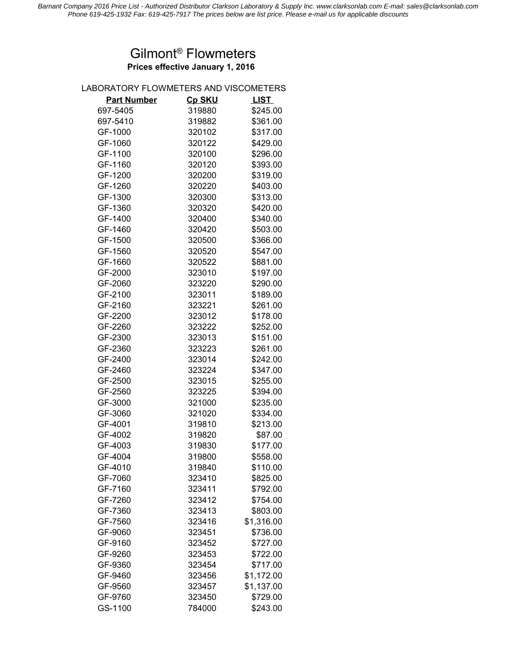## **Prices effective January 1, 2016** Gilmont® Flowmeters

## LABORATORY FLOWMETERS AND VISCOMETERS

| <b>Part Number</b> | Cp SKU | <b>LIST</b> |
|--------------------|--------|-------------|
| 697-5405           | 319880 | \$245.00    |
| 697-5410           | 319882 | \$361.00    |
| GF-1000            | 320102 | \$317.00    |
| GF-1060            | 320122 | \$429.00    |
| GF-1100            | 320100 | \$296.00    |
| GF-1160            | 320120 | \$393.00    |
| GF-1200            | 320200 | \$319.00    |
| GF-1260            | 320220 | \$403.00    |
| GF-1300            | 320300 | \$313.00    |
| GF-1360            | 320320 | \$420.00    |
| GF-1400            | 320400 | \$340.00    |
| GF-1460            | 320420 | \$503.00    |
| GF-1500            | 320500 | \$366.00    |
| GF-1560            | 320520 | \$547.00    |
| GF-1660            | 320522 | \$881.00    |
| GF-2000            | 323010 | \$197.00    |
| GF-2060            | 323220 | \$290.00    |
| GF-2100            | 323011 | \$189.00    |
| GF-2160            | 323221 | \$261.00    |
| GF-2200            | 323012 | \$178.00    |
| GF-2260            | 323222 | \$252.00    |
| GF-2300            | 323013 | \$151.00    |
| GF-2360            | 323223 | \$261.00    |
| GF-2400            | 323014 | \$242.00    |
| GF-2460            | 323224 | \$347.00    |
| GF-2500            | 323015 | \$255.00    |
| GF-2560            | 323225 | \$394.00    |
| GF-3000            | 321000 | \$235.00    |
| GF-3060            | 321020 | \$334.00    |
| GF-4001            | 319810 | \$213.00    |
| GF-4002            | 319820 | \$87.00     |
| GF-4003            | 319830 | \$177.00    |
| GF-4004            | 319800 | \$558.00    |
| GF-4010            | 319840 | \$110.00    |
| GF-7060            | 323410 | \$825.00    |
| GF-7160            | 323411 | \$792.00    |
| GF-7260            | 323412 | \$754.00    |
| GF-7360            | 323413 | \$803.00    |
| GF-7560            | 323416 | \$1,316.00  |
| GF-9060            | 323451 | \$736.00    |
| GF-9160            | 323452 | \$727.00    |
| GF-9260            | 323453 | \$722.00    |
| GF-9360            | 323454 | \$717.00    |
| GF-9460            | 323456 | \$1,172.00  |
| GF-9560            | 323457 | \$1,137.00  |
| GF-9760            | 323450 | \$729.00    |
| GS-1100            | 784000 | \$243.00    |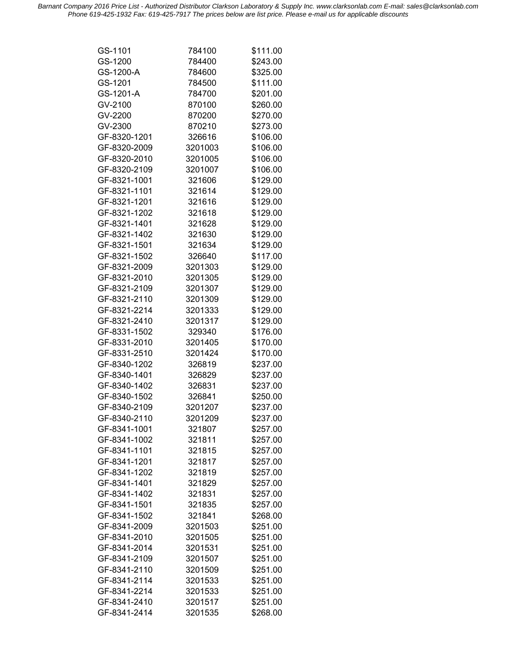*Barnant Company 2016 Price List - Authorized Distributor Clarkson Laboratory & Supply Inc. www.clarksonlab.com E-mail: sales@clarksonlab.com Phone 619-425-1932 Fax: 619-425-7917 The prices below are list price. Please e-mail us for applicable discounts*

| GS-1101                      | 784100  | \$111.00 |
|------------------------------|---------|----------|
| GS-1200                      | 784400  | \$243.00 |
| GS-1200-A                    | 784600  | \$325.00 |
| GS-1201                      | 784500  | \$111.00 |
| GS-1201-A                    | 784700  | \$201.00 |
| GV-2100                      | 870100  | \$260.00 |
| GV-2200                      | 870200  | \$270.00 |
| GV-2300                      | 870210  | \$273.00 |
| GF-8320-1201                 | 326616  | \$106.00 |
| GF-8320-2009                 | 3201003 | \$106.00 |
| GF-8320-2010                 | 3201005 | \$106.00 |
| GF-8320-2109                 | 3201007 | \$106.00 |
| GF-8321-1001                 | 321606  | \$129.00 |
| GF-8321-1101                 | 321614  |          |
|                              |         | \$129.00 |
| GF-8321-1201                 | 321616  | \$129.00 |
| GF-8321-1202<br>GF-8321-1401 | 321618  | \$129.00 |
|                              | 321628  | \$129.00 |
| GF-8321-1402                 | 321630  | \$129.00 |
| GF-8321-1501                 | 321634  | \$129.00 |
| GF-8321-1502                 | 326640  | \$117.00 |
| GF-8321-2009                 | 3201303 | \$129.00 |
| GF-8321-2010                 | 3201305 | \$129.00 |
| GF-8321-2109                 | 3201307 | \$129.00 |
| GF-8321-2110                 | 3201309 | \$129.00 |
| GF-8321-2214                 | 3201333 | \$129.00 |
| GF-8321-2410                 | 3201317 | \$129.00 |
| GF-8331-1502                 | 329340  | \$176.00 |
| GF-8331-2010                 | 3201405 | \$170.00 |
| GF-8331-2510                 | 3201424 | \$170.00 |
| GF-8340-1202                 | 326819  | \$237.00 |
| GF-8340-1401                 | 326829  | \$237.00 |
| GF-8340-1402                 | 326831  | \$237.00 |
| GF-8340-1502                 | 326841  | \$250.00 |
| GF-8340-2109                 | 3201207 | \$237.00 |
| GF-8340-2110                 | 3201209 | \$237.00 |
| GF-8341-1001                 | 321807  | \$257.00 |
| GF-8341-1002                 | 321811  | \$257.00 |
| GF-8341-1101                 | 321815  | \$257.00 |
| GF-8341-1201                 | 321817  | \$257.00 |
| GF-8341-1202                 | 321819  | \$257.00 |
| GF-8341-1401                 | 321829  | \$257.00 |
| GF-8341-1402                 | 321831  | \$257.00 |
| GF-8341-1501                 | 321835  | \$257.00 |
| GF-8341-1502                 | 321841  | \$268.00 |
| GF-8341-2009                 | 3201503 | \$251.00 |
| GF-8341-2010                 | 3201505 | \$251.00 |
| GF-8341-2014                 | 3201531 | \$251.00 |
| GF-8341-2109                 | 3201507 | \$251.00 |
| GF-8341-2110                 | 3201509 | \$251.00 |
|                              |         |          |
| GF-8341-2114                 | 3201533 | \$251.00 |
| GF-8341-2214                 | 3201533 | \$251.00 |
| GF-8341-2410                 | 3201517 | \$251.00 |
| GF-8341-2414                 | 3201535 | \$268.00 |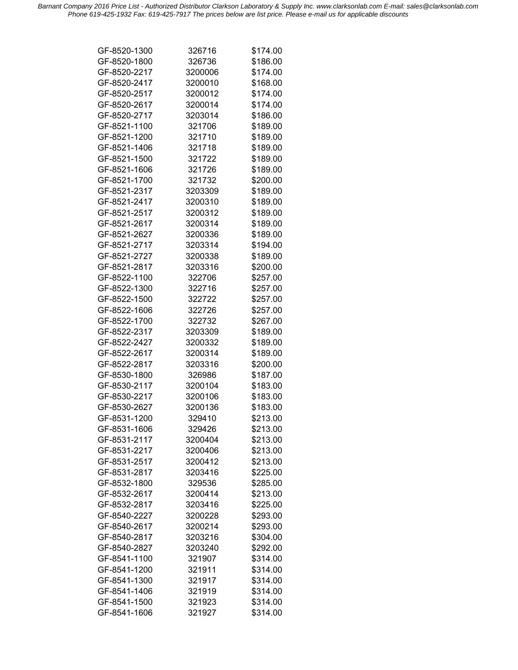*Barnant Company 2016 Price List - Authorized Distributor Clarkson Laboratory & Supply Inc. www.clarksonlab.com E-mail: sales@clarksonlab.com Phone 619-425-1932 Fax: 619-425-7917 The prices below are list price. Please e-mail us for applicable discounts*

| GF-8520-1300 | 326716  | \$174.00 |
|--------------|---------|----------|
| GF-8520-1800 | 326736  | \$186.00 |
| GF-8520-2217 | 3200006 | \$174.00 |
| GF-8520-2417 | 3200010 | \$168.00 |
| GF-8520-2517 | 3200012 | \$174.00 |
| GF-8520-2617 | 3200014 | \$174.00 |
| GF-8520-2717 | 3203014 | \$186.00 |
| GF-8521-1100 | 321706  | \$189.00 |
| GF-8521-1200 | 321710  | \$189.00 |
| GF-8521-1406 | 321718  | \$189.00 |
| GF-8521-1500 | 321722  | \$189.00 |
|              |         |          |
| GF-8521-1606 | 321726  | \$189.00 |
| GF-8521-1700 | 321732  | \$200.00 |
| GF-8521-2317 | 3203309 | \$189.00 |
| GF-8521-2417 | 3200310 | \$189.00 |
| GF-8521-2517 | 3200312 | \$189.00 |
| GF-8521-2617 | 3200314 | \$189.00 |
| GF-8521-2627 | 3200336 | \$189.00 |
| GF-8521-2717 | 3203314 | \$194.00 |
| GF-8521-2727 | 3200338 | \$189.00 |
| GF-8521-2817 | 3203316 | \$200.00 |
| GF-8522-1100 | 322706  | \$257.00 |
| GF-8522-1300 | 322716  | \$257.00 |
| GF-8522-1500 | 322722  | \$257.00 |
| GF-8522-1606 | 322726  | \$257.00 |
| GF-8522-1700 | 322732  | \$267.00 |
| GF-8522-2317 | 3203309 | \$189.00 |
| GF-8522-2427 | 3200332 | \$189.00 |
| GF-8522-2617 | 3200314 | \$189.00 |
|              |         |          |
| GF-8522-2817 | 3203316 | \$200.00 |
| GF-8530-1800 | 326986  | \$187.00 |
| GF-8530-2117 | 3200104 | \$183.00 |
| GF-8530-2217 | 3200106 | \$183.00 |
| GF-8530-2627 | 3200136 | \$183.00 |
| GF-8531-1200 | 329410  | \$213.00 |
| GF-8531-1606 | 329426  | \$213.00 |
| GF-8531-2117 | 3200404 | \$213.00 |
| GF-8531-2217 | 3200406 | \$213.00 |
| GF-8531-2517 | 3200412 | \$213.00 |
| GF-8531-2817 | 3203416 | \$225.00 |
| GF-8532-1800 | 329536  | \$285.00 |
| GF-8532-2617 | 3200414 | \$213.00 |
| GF-8532-2817 | 3203416 | \$225.00 |
| GF-8540-2227 | 3200228 | \$293.00 |
| GF-8540-2617 | 3200214 | \$293.00 |
| GF-8540-2817 | 3203216 | \$304.00 |
| GF-8540-2827 | 3203240 | \$292.00 |
|              |         |          |
| GF-8541-1100 | 321907  | \$314.00 |
| GF-8541-1200 | 321911  | \$314.00 |
| GF-8541-1300 | 321917  | \$314.00 |
| GF-8541-1406 | 321919  | \$314.00 |
| GF-8541-1500 | 321923  | \$314.00 |
| GF-8541-1606 | 321927  | \$314.00 |